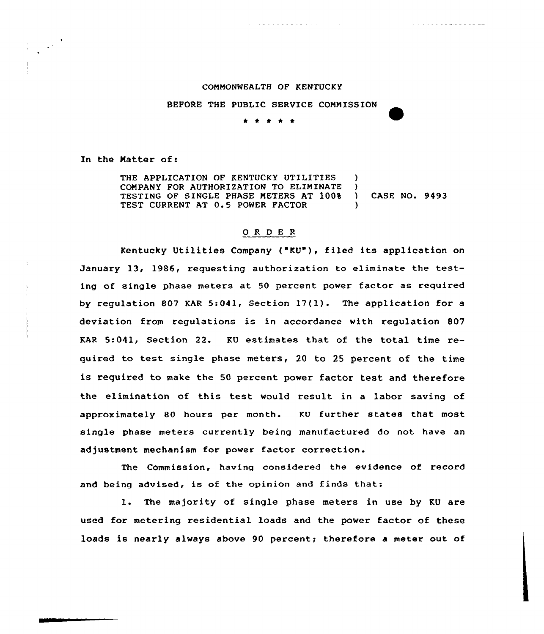## COMMONWEALTH OF KENTUCKY

<u>. La antica a antica tr</u>

BEFORE THE PUBLIC SERVICE COMMISSION

## \* \* t \* \*

In the Matter of:

 $\mathcal{L}^{(1)}$ 

THE APPLICATION OF KENTUCKY UTILITIES COMPANY FOR AUTHORIZATION TO ELIMINATE TESTING OF SINGLE PHASE METERS AT 100% TEST CURRENT AT 0.5 POWER FACTOR ) } ) CASE NO. 9493 )

## 0 R <sup>D</sup> E R

Kentucky Utilities Company ("KU"), filed its application on January 13, 1986, requesting authorization to eliminate the testing of single phase meters at 50 percent power factor as required by regulation 807 KAR 5:041, Section 17(1). The application for <sup>a</sup> deviation from regulations is in accordance with regulation 807 KAR 5:041, Section 22. KU estimates that of the total time required to test single phase meters, <sup>20</sup> to <sup>25</sup> percent of the time is required to make the 50 percent power factor test and therefore the elimination of this test would result in <sup>a</sup> labor saving of approximately 80 hours per month. KU further states that most single phase meters currently being manufactured do not have an adjustment mechanism for power factor correction.

The Commission, having considered the evidence of record and being advised, is of the opinion and finds that:

1. The majority of single phase meters in use by KU are used for metering residential loads and the power factor of these loads is nearly always above 90 percent; therefore a meter out of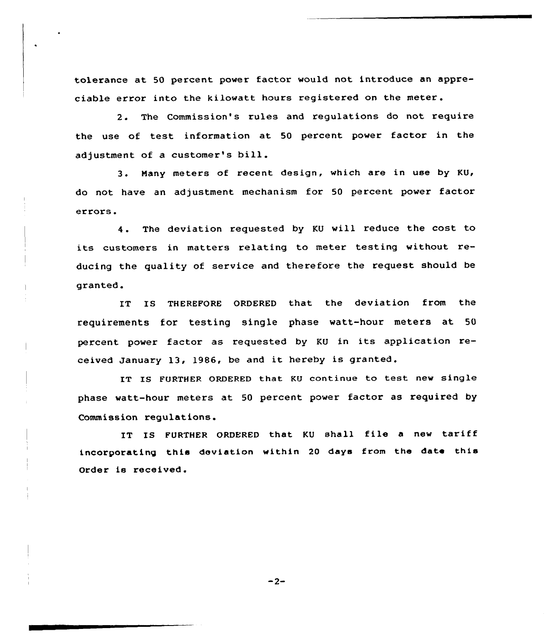tolerance at 50 percent power factor would not introduce an appreciable error into the kilowatt hours registered on the meter.

2. The Commission's rules and regulations do not require the use of test information at <sup>50</sup> percent power factor in the adjustment of <sup>a</sup> customer's bill.

3. Nany meters of recent design, which are in use by KU, do not have an adjustment mechanism for 50 percent power factor errors.

4. The deviation requested by KU will reduce the cost to its customers in matters relating to meter testing without reducing the quality of service and therefore the request should be gxanted.

IT IS THEREFORE ORDERED that the deviation from the requirements for testing single phase watt-hour meters at 50 percent power factor as requested by KU in its application received January 13, 1986, be and it hereby is granted.

IT IS FURTHER ORDERED that KU continue to test new single phase watt-hour meters at 50 percent power factor as required by Commission regulations.

IT IS FURTHER ORDERED that KU shall file <sup>a</sup> new tariff incorporating this deviation within <sup>20</sup> days from the date this Order is received.

 $-2-$